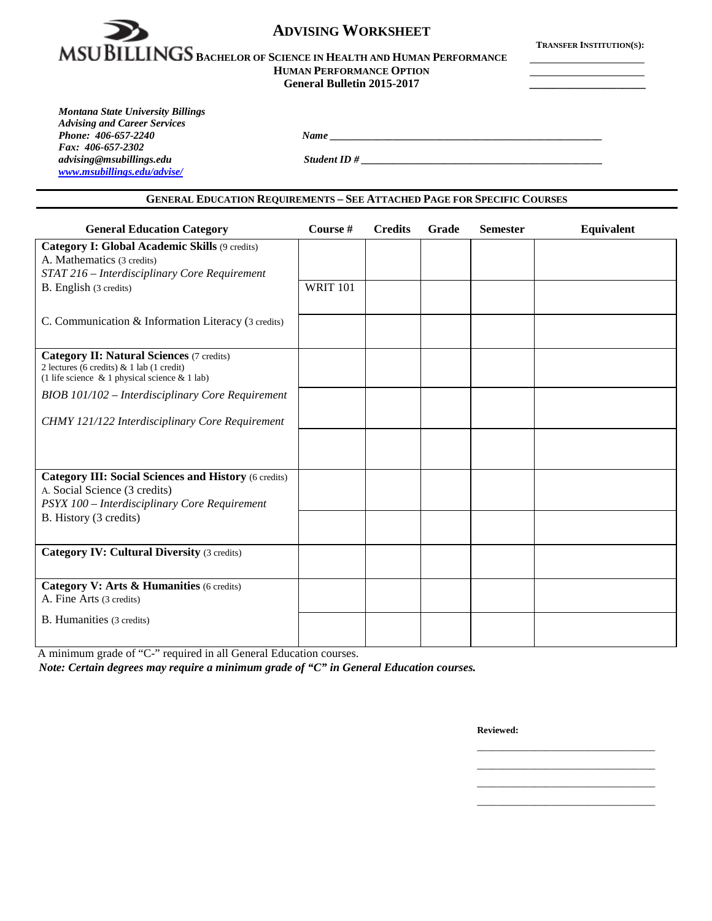

# **ADVISING WORKSHEET**

**TRANSFER INSTITUTION(S):**

# **MSUBILLINGS** BACHELOR OF SCIENCE IN HEALTH AND HUMAN PERFORMANCE **HUMAN PERFORMANCE OPTION**

**General Bulletin 2015-2017 \_\_\_\_\_\_\_\_\_\_\_\_\_\_\_\_\_\_\_\_**

*Montana State University Billings Advising and Career Services Fax: 406-657-2302 advising@msubillings.edu Student ID # \_\_\_\_\_\_\_\_\_\_\_\_\_\_\_\_\_\_\_\_\_\_\_\_\_\_\_\_\_\_\_\_\_\_\_\_\_\_\_\_\_\_\_\_\_\_ [www.msubillings.edu/advise/](http://www.msubillings.edu/advise/)*

*Phone: 406-657-2240 Name \_\_\_\_\_\_\_\_\_\_\_\_\_\_\_\_\_\_\_\_\_\_\_\_\_\_\_\_\_\_\_\_\_\_\_\_\_\_\_\_\_\_\_\_\_\_\_\_\_\_\_\_*

#### **GENERAL EDUCATION REQUIREMENTS – SEE ATTACHED PAGE FOR SPECIFIC COURSES**

| <b>General Education Category</b>                                                                                                                      | Course #        | <b>Credits</b> | Grade | <b>Semester</b> | <b>Equivalent</b> |
|--------------------------------------------------------------------------------------------------------------------------------------------------------|-----------------|----------------|-------|-----------------|-------------------|
| Category I: Global Academic Skills (9 credits)                                                                                                         |                 |                |       |                 |                   |
| A. Mathematics (3 credits)                                                                                                                             |                 |                |       |                 |                   |
| STAT 216 - Interdisciplinary Core Requirement                                                                                                          |                 |                |       |                 |                   |
| B. English (3 credits)                                                                                                                                 | <b>WRIT 101</b> |                |       |                 |                   |
| C. Communication & Information Literacy (3 credits)                                                                                                    |                 |                |       |                 |                   |
| <b>Category II: Natural Sciences (7 credits)</b><br>2 lectures (6 credits) $& 1$ lab (1 credit)<br>(1 life science $\&$ 1 physical science $\&$ 1 lab) |                 |                |       |                 |                   |
| BIOB 101/102 - Interdisciplinary Core Requirement                                                                                                      |                 |                |       |                 |                   |
| CHMY 121/122 Interdisciplinary Core Requirement                                                                                                        |                 |                |       |                 |                   |
|                                                                                                                                                        |                 |                |       |                 |                   |
| <b>Category III: Social Sciences and History (6 credits)</b>                                                                                           |                 |                |       |                 |                   |
| A. Social Science (3 credits)<br>PSYX 100 - Interdisciplinary Core Requirement                                                                         |                 |                |       |                 |                   |
| B. History (3 credits)                                                                                                                                 |                 |                |       |                 |                   |
| <b>Category IV: Cultural Diversity (3 credits)</b>                                                                                                     |                 |                |       |                 |                   |
|                                                                                                                                                        |                 |                |       |                 |                   |
| Category V: Arts & Humanities (6 credits)<br>A. Fine Arts (3 credits)                                                                                  |                 |                |       |                 |                   |
| B. Humanities (3 credits)                                                                                                                              |                 |                |       |                 |                   |
|                                                                                                                                                        |                 |                |       |                 |                   |

A minimum grade of "C-" required in all General Education courses.

*Note: Certain degrees may require a minimum grade of "C" in General Education courses.*

**Reviewed:**

\_\_\_\_\_\_\_\_\_\_\_\_\_\_\_\_\_\_\_\_\_\_\_\_\_\_\_\_\_\_\_\_\_\_ \_\_\_\_\_\_\_\_\_\_\_\_\_\_\_\_\_\_\_\_\_\_\_\_\_\_\_\_\_\_\_\_\_\_ \_\_\_\_\_\_\_\_\_\_\_\_\_\_\_\_\_\_\_\_\_\_\_\_\_\_\_\_\_\_\_\_\_\_

\_\_\_\_\_\_\_\_\_\_\_\_\_\_\_\_\_\_\_\_\_\_\_\_\_\_\_\_\_\_\_\_\_\_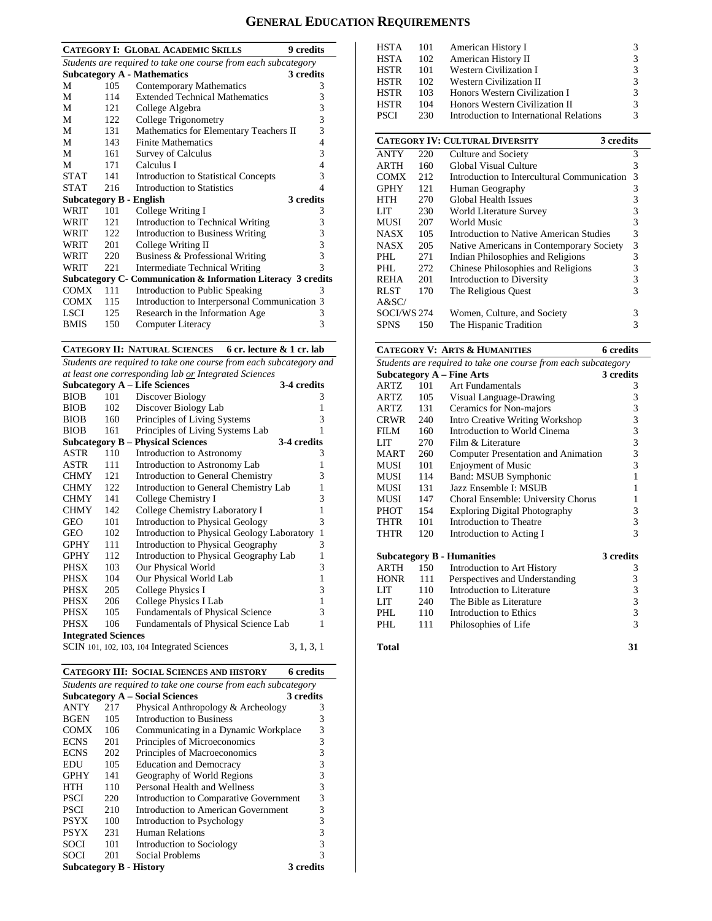# **GENERAL EDUCATION REQUIREMENTS**

|             |      | <b>CATEGORY I: GLOBAL ACADEMIC SKILLS</b>                      | 9 credits               |
|-------------|------|----------------------------------------------------------------|-------------------------|
|             |      | Students are required to take one course from each subcategory |                         |
|             |      | <b>Subcategory A - Mathematics</b>                             | 3 credits               |
| М           | 105  | Contemporary Mathematics                                       | 3                       |
| M           | 114  | <b>Extended Technical Mathematics</b>                          | 3                       |
| М           | 121  | College Algebra                                                | 3                       |
| M           | 122  | College Trigonometry                                           | $\overline{\mathbf{3}}$ |
| М           | 131  | Mathematics for Elementary Teachers II                         | 3                       |
| М           | 143  | <b>Finite Mathematics</b>                                      | $\overline{4}$          |
| М           | 161  | <b>Survey of Calculus</b>                                      | 3                       |
| М           | 171  | Calculus I                                                     | 4                       |
| STAT        | 141  | <b>Introduction to Statistical Concepts</b>                    | 3                       |
| <b>STAT</b> | 216  | Introduction to Statistics                                     | 4                       |
|             |      | <b>Subcategory B - English</b>                                 | 3 credits               |
| WRIT        | 101  | College Writing I                                              | 3                       |
| WRIT        | 121  | Introduction to Technical Writing                              | 3                       |
| WRIT        | 122. | <b>Introduction to Business Writing</b>                        | 3                       |
| WRIT        | 201  | College Writing II                                             | 3                       |
| WRIT        | 220  | Business & Professional Writing                                | 3                       |
| WRIT        | 221  | Intermediate Technical Writing                                 | $\mathcal{R}$           |
|             |      | Subcategory C- Communication & Information Literacy 3 credits  |                         |
| <b>COMX</b> | 111  | Introduction to Public Speaking                                | 3                       |
| <b>COMX</b> | 115  | Introduction to Interpersonal Communication 3                  |                         |
| LSCI.       | 125  | Research in the Information Age                                | 3                       |
| <b>BMIS</b> | 150  | Computer Literacy                                              | 3                       |

#### **CATEGORY II: NATURAL SCIENCES 6 cr. lecture & 1 cr. lab**

*Students are required to take one course from each subcategory and at least one corresponding lab or Integrated Sciences*

|                            |     | <b>Subcategory A – Life Sciences</b>        | 3-4 credits  |  |  |
|----------------------------|-----|---------------------------------------------|--------------|--|--|
| <b>BIOB</b>                | 101 | Discover Biology                            | 3            |  |  |
| <b>BIOB</b>                | 102 | Discover Biology Lab                        | 1            |  |  |
| <b>BIOB</b>                | 160 | Principles of Living Systems                | 3            |  |  |
| <b>BIOB</b>                | 161 | Principles of Living Systems Lab            | 1            |  |  |
|                            |     | <b>Subcategory B – Physical Sciences</b>    | 3-4 credits  |  |  |
| ASTR                       | 110 | Introduction to Astronomy                   | 3            |  |  |
| ASTR                       | 111 | Introduction to Astronomy Lab               | 1            |  |  |
| <b>CHMY</b>                | 121 | Introduction to General Chemistry           | 3            |  |  |
| <b>CHMY</b>                | 122 | Introduction to General Chemistry Lab       | 1            |  |  |
| <b>CHMY</b>                | 141 | College Chemistry I                         | 3            |  |  |
| <b>CHMY</b>                | 142 | College Chemistry Laboratory I              | 1            |  |  |
| GEO                        | 101 | <b>Introduction to Physical Geology</b>     | 3            |  |  |
| GEO                        | 102 | Introduction to Physical Geology Laboratory | $\mathbf{1}$ |  |  |
| <b>GPHY</b>                | 111 | Introduction to Physical Geography          | 3            |  |  |
| <b>GPHY</b>                | 112 | Introduction to Physical Geography Lab      | 1            |  |  |
| PHSX                       | 103 | Our Physical World                          | 3            |  |  |
| PHSX                       | 104 | Our Physical World Lab                      | $\mathbf{1}$ |  |  |
| PHSX                       | 205 | College Physics I                           | 3            |  |  |
| PHSX                       | 206 | College Physics I Lab                       | $\mathbf{1}$ |  |  |
| PHSX                       | 105 | <b>Fundamentals of Physical Science</b>     | 3            |  |  |
| PHSX                       | 106 | Fundamentals of Physical Science Lab        | 1            |  |  |
| <b>Integrated Sciences</b> |     |                                             |              |  |  |
|                            |     | SCIN 101, 102, 103, 104 Integrated Sciences | 3, 1, 3, 1   |  |  |

|                                                                |     | <b>CATEGORY III: SOCIAL SCIENCES AND HISTORY</b> | 6 credits |  |  |  |
|----------------------------------------------------------------|-----|--------------------------------------------------|-----------|--|--|--|
| Students are required to take one course from each subcategory |     |                                                  |           |  |  |  |
|                                                                |     | <b>Subcategory A – Social Sciences</b>           | 3 credits |  |  |  |
| <b>ANTY</b>                                                    | 217 | Physical Anthropology & Archeology               | 3         |  |  |  |
| <b>BGEN</b>                                                    | 105 | Introduction to Business                         | 3         |  |  |  |
| <b>COMX</b>                                                    | 106 | Communicating in a Dynamic Workplace             | 3         |  |  |  |
| <b>ECNS</b>                                                    | 201 | Principles of Microeconomics                     | 3         |  |  |  |
| <b>ECNS</b>                                                    | 202 | Principles of Macroeconomics                     | 3         |  |  |  |
| EDU                                                            | 105 | <b>Education and Democracy</b>                   | 3         |  |  |  |
| <b>GPHY</b>                                                    | 141 | Geography of World Regions                       | 3         |  |  |  |
| HTH                                                            | 110 | Personal Health and Wellness                     | 3         |  |  |  |
| <b>PSCI</b>                                                    | 220 | Introduction to Comparative Government           | 3         |  |  |  |
| <b>PSCI</b>                                                    | 210 | Introduction to American Government              | 3         |  |  |  |
| <b>PSYX</b>                                                    | 100 | Introduction to Psychology                       | 3         |  |  |  |
| <b>PSYX</b>                                                    | 231 | <b>Human Relations</b>                           | 3         |  |  |  |
| SOCI                                                           | 101 | Introduction to Sociology                        | 3         |  |  |  |
| SOCI                                                           | 201 | Social Problems                                  | 3         |  |  |  |
| <b>Subcategory B - History</b>                                 |     |                                                  | 3 credits |  |  |  |

| <b>HSTA</b> | 101 | American History I                           | 3             |
|-------------|-----|----------------------------------------------|---------------|
| <b>HSTA</b> | 102 | American History II                          | 3             |
| <b>HSTR</b> | 101 | <b>Western Civilization I</b>                | 3             |
| <b>HSTR</b> | 102 | Western Civilization II                      | 3             |
| <b>HSTR</b> | 103 | Honors Western Civilization I                | 3             |
| <b>HSTR</b> | 104 | Honors Western Civilization II               | 3             |
| <b>PSCI</b> | 230 | Introduction to International Relations      | 3             |
|             |     |                                              |               |
|             |     | CATEGORY IV: CULTURAL DIVERSITY<br>3 credits |               |
| <b>ANTY</b> | 220 | Culture and Society                          | 3             |
| <b>ARTH</b> | 160 | <b>Global Visual Culture</b>                 | 3             |
| COMX        | 212 | Introduction to Intercultural Communication  | 3             |
| <b>GPHY</b> | 121 | Human Geography                              | 3             |
| HTH         | 270 | <b>Global Health Issues</b>                  | 3             |
| LIT         | 230 | World Literature Survey                      | $\frac{3}{3}$ |
| <b>MUSI</b> | 207 | World Music                                  |               |
| NASX        | 105 | Introduction to Native American Studies      | 3             |
| <b>NASX</b> | 205 | Native Americans in Contemporary Society     |               |
| PHL         | 271 | Indian Philosophies and Religions            | $\frac{3}{3}$ |
| PHI.        | 272 | Chinese Philosophies and Religions           | 3             |
| <b>REHA</b> | 201 | Introduction to Diversity                    | 3             |
| <b>RLST</b> | 170 | The Religious Quest                          | 3             |
| A&SC/       |     |                                              |               |
| SOCI/WS 274 |     | Women, Culture, and Society                  | 3             |
| <b>SPNS</b> | 150 | The Hispanic Tradition                       | 3             |
|             |     |                                              |               |

# **CATEGORY V: ARTS & HUMANITIES 6 credits**

| Students are required to take one course from each subcategory |     |                                        |           |  |
|----------------------------------------------------------------|-----|----------------------------------------|-----------|--|
|                                                                |     | <b>Subcategory A - Fine Arts</b>       | 3 credits |  |
| ARTZ                                                           | 101 | <b>Art Fundamentals</b>                | 3         |  |
| ARTZ                                                           | 105 | Visual Language-Drawing                | 3         |  |
| ARTZ                                                           | 131 | Ceramics for Non-majors                | 3         |  |
| <b>CRWR</b>                                                    | 240 | <b>Intro Creative Writing Workshop</b> | 3         |  |
| FILM                                                           | 160 | Introduction to World Cinema           | 3         |  |
| LIT                                                            | 270 | Film & Literature                      | 3         |  |
| <b>MART</b>                                                    | 260 | Computer Presentation and Animation    | 3         |  |
| MUSI                                                           | 101 | <b>Enjoyment of Music</b>              | 3         |  |
| MUSI                                                           | 114 | Band: MSUB Symphonic                   | 1         |  |
| MUSI                                                           | 131 | Jazz Ensemble I: MSUB                  | 1         |  |
| <b>MUSI</b>                                                    | 147 | Choral Ensemble: University Chorus     | 1         |  |
| <b>PHOT</b>                                                    | 154 | <b>Exploring Digital Photography</b>   | 3         |  |
| <b>THTR</b>                                                    | 101 | Introduction to Theatre                | 3         |  |
| THTR                                                           | 120 | Introduction to Acting I               | 3         |  |
|                                                                |     | <b>Subcategory B - Humanities</b>      | 3 credits |  |
| <b>ARTH</b>                                                    | 150 | Introduction to Art History            | 3         |  |
| <b>HONR</b>                                                    | 111 | Perspectives and Understanding         | 3         |  |
| LIT                                                            | 110 | Introduction to Literature             | 3         |  |
| LIT                                                            | 240 | The Bible as Literature                | 3         |  |
| PHL.                                                           | 110 | Introduction to Ethics                 | 3         |  |
| PHL.                                                           | 111 | Philosophies of Life                   | 3         |  |
| Total                                                          |     |                                        | 31        |  |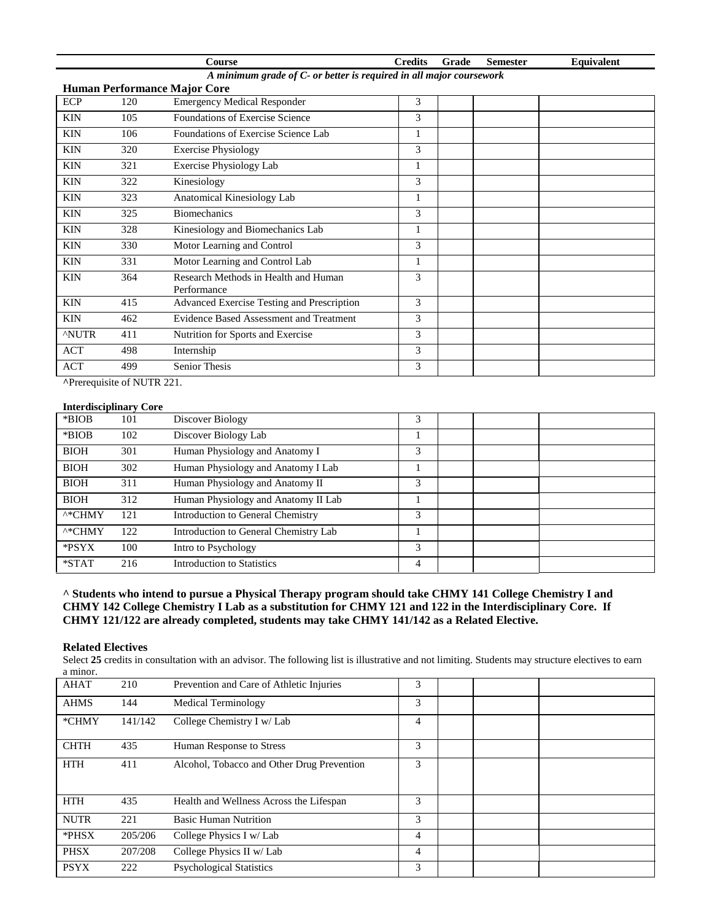|             |                                                                     | <b>Course</b>                                       | <b>Credits</b> | Grade | <b>Semester</b> | Equivalent |  |  |
|-------------|---------------------------------------------------------------------|-----------------------------------------------------|----------------|-------|-----------------|------------|--|--|
|             | A minimum grade of C- or better is required in all major coursework |                                                     |                |       |                 |            |  |  |
|             |                                                                     | <b>Human Performance Major Core</b>                 |                |       |                 |            |  |  |
| <b>ECP</b>  | 120                                                                 | <b>Emergency Medical Responder</b>                  | 3              |       |                 |            |  |  |
| <b>KIN</b>  | 105                                                                 | Foundations of Exercise Science                     | 3              |       |                 |            |  |  |
| <b>KIN</b>  | 106                                                                 | Foundations of Exercise Science Lab                 | 1              |       |                 |            |  |  |
| <b>KIN</b>  | 320                                                                 | <b>Exercise Physiology</b>                          | 3              |       |                 |            |  |  |
| <b>KIN</b>  | 321                                                                 | <b>Exercise Physiology Lab</b>                      | 1              |       |                 |            |  |  |
| <b>KIN</b>  | 322                                                                 | Kinesiology                                         | 3              |       |                 |            |  |  |
| <b>KIN</b>  | 323                                                                 | Anatomical Kinesiology Lab                          |                |       |                 |            |  |  |
| <b>KIN</b>  | 325                                                                 | <b>Biomechanics</b>                                 | 3              |       |                 |            |  |  |
| <b>KIN</b>  | 328                                                                 | Kinesiology and Biomechanics Lab                    | 1              |       |                 |            |  |  |
| <b>KIN</b>  | 330                                                                 | Motor Learning and Control                          | 3              |       |                 |            |  |  |
| <b>KIN</b>  | 331                                                                 | Motor Learning and Control Lab                      | 1              |       |                 |            |  |  |
| <b>KIN</b>  | 364                                                                 | Research Methods in Health and Human<br>Performance | 3              |       |                 |            |  |  |
| <b>KIN</b>  | 415                                                                 | Advanced Exercise Testing and Prescription          | 3              |       |                 |            |  |  |
| <b>KIN</b>  | 462                                                                 | Evidence Based Assessment and Treatment             | 3              |       |                 |            |  |  |
| <b>NUTR</b> | 411                                                                 | Nutrition for Sports and Exercise                   | 3              |       |                 |            |  |  |
| <b>ACT</b>  | 498                                                                 | Internship                                          | 3              |       |                 |            |  |  |
| <b>ACT</b>  | 499                                                                 | Senior Thesis                                       | 3              |       |                 |            |  |  |

**^**Prerequisite of NUTR 221.

#### **Interdisciplinary Core**

|                    | 111001 019019111101 + Col C |                                       |   |  |  |
|--------------------|-----------------------------|---------------------------------------|---|--|--|
| *BIOB              | 101                         | Discover Biology                      | 3 |  |  |
| *BIOB              | 102                         | Discover Biology Lab                  |   |  |  |
| <b>BIOH</b>        | 301                         | Human Physiology and Anatomy I        | 3 |  |  |
| <b>BIOH</b>        | 302                         | Human Physiology and Anatomy I Lab    |   |  |  |
| <b>BIOH</b>        | 311                         | Human Physiology and Anatomy II       | 3 |  |  |
| <b>BIOH</b>        | 312                         | Human Physiology and Anatomy II Lab   |   |  |  |
| $^{\wedge *}$ CHMY | 121                         | Introduction to General Chemistry     | 3 |  |  |
| $^{\wedge*}$ CHMY  | 122                         | Introduction to General Chemistry Lab |   |  |  |
| *PSYX              | 100                         | Intro to Psychology                   | 3 |  |  |
| *STAT              | 216                         | <b>Introduction to Statistics</b>     | 4 |  |  |

**^ Students who intend to pursue a Physical Therapy program should take CHMY 141 College Chemistry I and CHMY 142 College Chemistry I Lab as a substitution for CHMY 121 and 122 in the Interdisciplinary Core. If CHMY 121/122 are already completed, students may take CHMY 141/142 as a Related Elective.**

#### **Related Electives**

Select 25 credits in consultation with an advisor. The following list is illustrative and not limiting. Students may structure electives to earn a minor.

| <b>AHAT</b> | 210     | Prevention and Care of Athletic Injuries   | 3 |  |  |
|-------------|---------|--------------------------------------------|---|--|--|
| <b>AHMS</b> | 144     | <b>Medical Terminology</b>                 | 3 |  |  |
| *CHMY       | 141/142 | College Chemistry I w/ Lab                 | 4 |  |  |
| <b>CHTH</b> | 435     | Human Response to Stress                   | 3 |  |  |
| <b>HTH</b>  | 411     | Alcohol, Tobacco and Other Drug Prevention | 3 |  |  |
| <b>HTH</b>  | 435     | Health and Wellness Across the Lifespan    | 3 |  |  |
| <b>NUTR</b> | 221     | <b>Basic Human Nutrition</b>               | 3 |  |  |
| *PHSX       | 205/206 | College Physics I w/ Lab                   | 4 |  |  |
| <b>PHSX</b> | 207/208 | College Physics II w/ Lab                  | 4 |  |  |
| <b>PSYX</b> | 222     | <b>Psychological Statistics</b>            | 3 |  |  |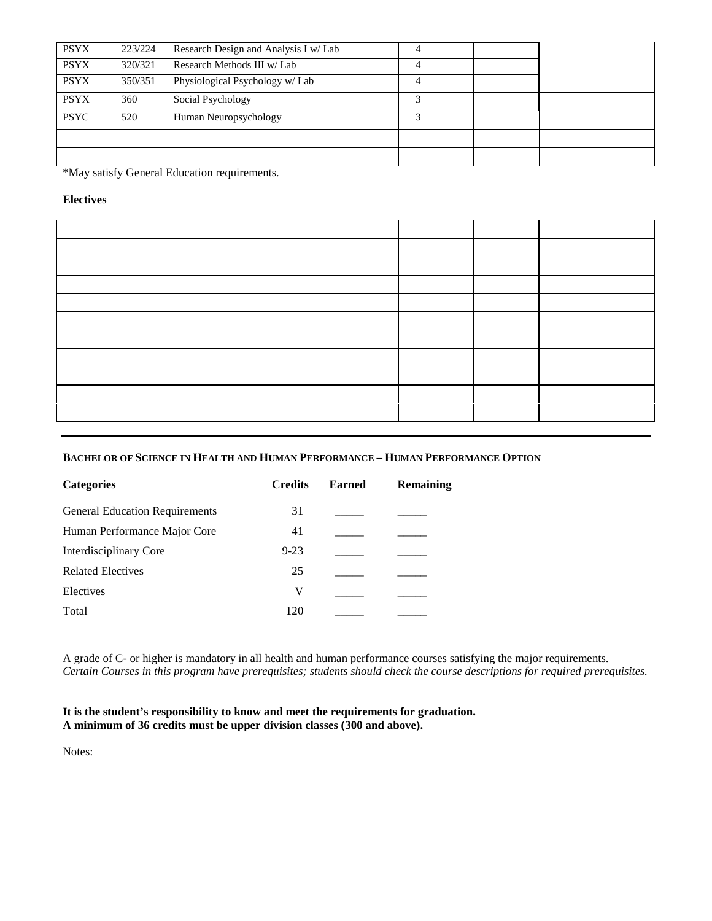| <b>PSYX</b> | 223/224 | Research Design and Analysis I w/ Lab | 4 |  |  |
|-------------|---------|---------------------------------------|---|--|--|
| <b>PSYX</b> | 320/321 | Research Methods III w/ Lab           | 4 |  |  |
| <b>PSYX</b> | 350/351 | Physiological Psychology w/ Lab       | 4 |  |  |
| <b>PSYX</b> | 360     | Social Psychology                     | 3 |  |  |
| <b>PSYC</b> | 520     | Human Neuropsychology                 | 3 |  |  |
|             |         |                                       |   |  |  |
|             |         |                                       |   |  |  |

\*May satisfy General Education requirements.

## **Electives**

## **BACHELOR OF SCIENCE IN HEALTH AND HUMAN PERFORMANCE – HUMAN PERFORMANCE OPTION**

| <b>Categories</b>                     | <b>Credits</b> | <b>Earned</b> | Remaining |
|---------------------------------------|----------------|---------------|-----------|
| <b>General Education Requirements</b> | 31             |               |           |
| Human Performance Major Core          | 41             |               |           |
| Interdisciplinary Core                | $9 - 23$       |               |           |
| <b>Related Electives</b>              | 25             |               |           |
| Electives                             | V              |               |           |
| Total                                 | 120            |               |           |
|                                       |                |               |           |

A grade of C- or higher is mandatory in all health and human performance courses satisfying the major requirements. *Certain Courses in this program have prerequisites; students should check the course descriptions for required prerequisites.* 

### **It is the student's responsibility to know and meet the requirements for graduation. A minimum of 36 credits must be upper division classes (300 and above).**

Notes: